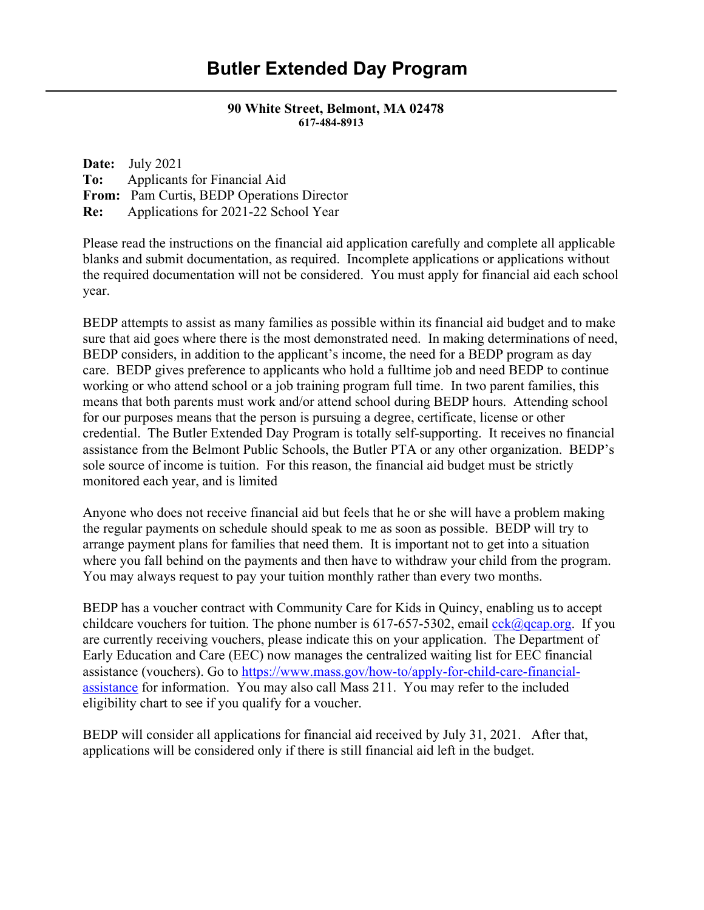# **90 White Street, Belmont, MA 02478 617-484-8913**

| <b>Date:</b> July 2021                          |
|-------------------------------------------------|
| <b>To:</b> Applicants for Financial Aid         |
| From: Pam Curtis, BEDP Operations Director      |
| <b>Re:</b> Applications for 2021-22 School Year |

Please read the instructions on the financial aid application carefully and complete all applicable blanks and submit documentation, as required. Incomplete applications or applications without the required documentation will not be considered. You must apply for financial aid each school year.

BEDP attempts to assist as many families as possible within its financial aid budget and to make sure that aid goes where there is the most demonstrated need. In making determinations of need, BEDP considers, in addition to the applicant's income, the need for a BEDP program as day care. BEDP gives preference to applicants who hold a fulltime job and need BEDP to continue working or who attend school or a job training program full time. In two parent families, this means that both parents must work and/or attend school during BEDP hours. Attending school for our purposes means that the person is pursuing a degree, certificate, license or other credential. The Butler Extended Day Program is totally self-supporting. It receives no financial assistance from the Belmont Public Schools, the Butler PTA or any other organization. BEDP's sole source of income is tuition. For this reason, the financial aid budget must be strictly monitored each year, and is limited

Anyone who does not receive financial aid but feels that he or she will have a problem making the regular payments on schedule should speak to me as soon as possible. BEDP will try to arrange payment plans for families that need them. It is important not to get into a situation where you fall behind on the payments and then have to withdraw your child from the program. You may always request to pay your tuition monthly rather than every two months.

BEDP has a voucher contract with Community Care for Kids in Quincy, enabling us to accept childcare vouchers for tuition. The phone number is  $617-657-5302$ , email [cck@qcap.org.](mailto:cck@qcap.org) If you are currently receiving vouchers, please indicate this on your application. The Department of Early Education and Care (EEC) now manages the centralized waiting list for EEC financial assistance (vouchers). Go to [https://www.mass.gov/how-to/apply-for-child-care-financial](https://www.mass.gov/how-to/apply-for-child-care-financial-assistance)[assistance](https://www.mass.gov/how-to/apply-for-child-care-financial-assistance) for information. You may also call Mass 211. You may refer to the included eligibility chart to see if you qualify for a voucher.

BEDP will consider all applications for financial aid received by July 31, 2021. After that, applications will be considered only if there is still financial aid left in the budget.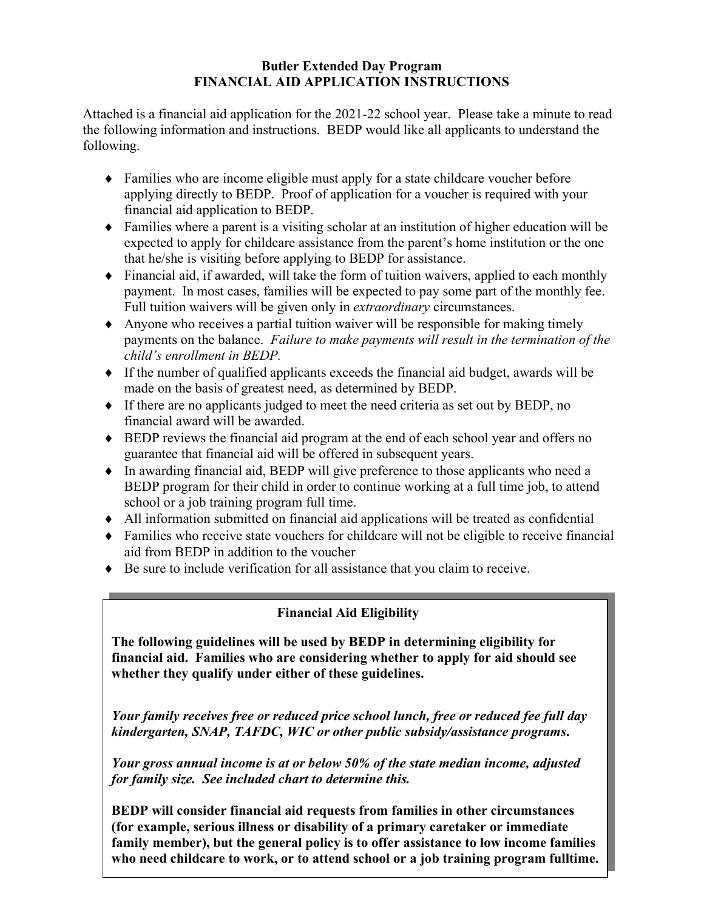## **Butler Extended Day Program FINANCIAL AID APPLICATION INSTRUCTIONS**

Attached is a financial aid application for the 2021-22 school year. Please take a minute to read the following information and instructions. BEDP would like all applicants to understand the following.

- ♦ Families who are income eligible must apply for a state childcare voucher before applying directly to BEDP. Proof of application for a voucher is required with your financial aid application to BEDP.
- ♦ Families where a parent is a visiting scholar at an institution of higher education will be expected to apply for childcare assistance from the parent's home institution or the one that he/she is visiting before applying to BEDP for assistance.
- ♦ Financial aid, if awarded, will take the form of tuition waivers, applied to each monthly payment. In most cases, families will be expected to pay some part of the monthly fee. Full tuition waivers will be given only in *extraordinary* circumstances.
- ♦ Anyone who receives a partial tuition waiver will be responsible for making timely payments on the balance. *Failure to make payments will result in the termination of the child's enrollment in BEDP.*
- ♦ If the number of qualified applicants exceeds the financial aid budget, awards will be made on the basis of greatest need, as determined by BEDP.
- ♦ If there are no applicants judged to meet the need criteria as set out by BEDP, no financial award will be awarded.
- ♦ BEDP reviews the financial aid program at the end of each school year and offers no guarantee that financial aid will be offered in subsequent years.
- ♦ In awarding financial aid, BEDP will give preference to those applicants who need a BEDP program for their child in order to continue working at a full time job, to attend school or a job training program full time.
- ♦ All information submitted on financial aid applications will be treated as confidential
- ♦ Families who receive state vouchers for childcare will not be eligible to receive financial aid from BEDP in addition to the voucher
- ♦ Be sure to include verification for all assistance that you claim to receive.

## **Financial Aid Eligibility**

**The following guidelines will be used by BEDP in determining eligibility for financial aid. Families who are considering whether to apply for aid should see whether they qualify under either of these guidelines.**

*Your family receives free or reduced price school lunch, free or reduced fee full day kindergarten, SNAP, TAFDC, WIC or other public subsidy/assistance programs***.**

*Your gross annual income is at or below 50% of the state median income, adjusted for family size. See included chart to determine this.* 

**BEDP will consider financial aid requests from families in other circumstances (for example, serious illness or disability of a primary caretaker or immediate family member), but the general policy is to offer assistance to low income families who need childcare to work, or to attend school or a job training program fulltime.**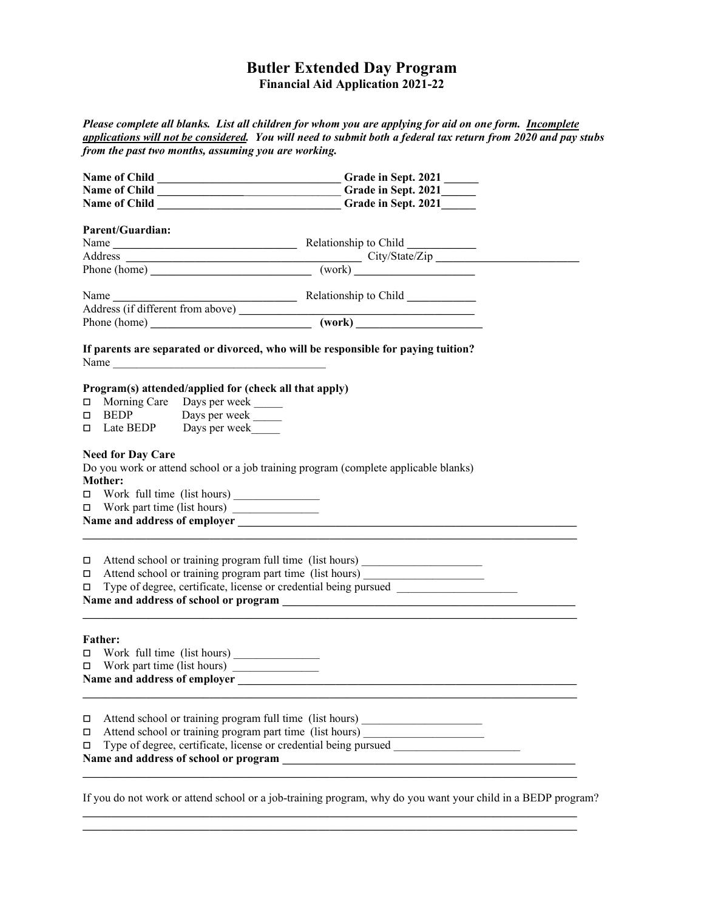### **Butler Extended Day Program Financial Aid Application 2021-22**

*Please complete all blanks. List all children for whom you are applying for aid on one form. Incomplete applications will not be considered. You will need to submit both a federal tax return from 2020 and pay stubs from the past two months, assuming you are working.* 

|        |                                                                                                                                                | Name of Child ________________________________Grade in Sept. 2021______                                                                                                                                                                                                      |  |  |  |  |  |  |
|--------|------------------------------------------------------------------------------------------------------------------------------------------------|------------------------------------------------------------------------------------------------------------------------------------------------------------------------------------------------------------------------------------------------------------------------------|--|--|--|--|--|--|
|        |                                                                                                                                                | Name of Child ________________________________Grade in Sept. 2021________________                                                                                                                                                                                            |  |  |  |  |  |  |
|        | <b>Parent/Guardian:</b>                                                                                                                        |                                                                                                                                                                                                                                                                              |  |  |  |  |  |  |
|        |                                                                                                                                                |                                                                                                                                                                                                                                                                              |  |  |  |  |  |  |
|        |                                                                                                                                                |                                                                                                                                                                                                                                                                              |  |  |  |  |  |  |
|        |                                                                                                                                                | Address City/State/Zip City/State/Zip City/State/Zip City/State/Zip City/State/Zip City/State/Zip City/State/Zip City/State/Zip City/State/Zip City/State/Zip City/State/Zip City/State/Zip City/State/Zip City/State/Zip City                                               |  |  |  |  |  |  |
|        |                                                                                                                                                |                                                                                                                                                                                                                                                                              |  |  |  |  |  |  |
|        |                                                                                                                                                |                                                                                                                                                                                                                                                                              |  |  |  |  |  |  |
|        |                                                                                                                                                |                                                                                                                                                                                                                                                                              |  |  |  |  |  |  |
|        |                                                                                                                                                | Name<br>Address (if different from above)<br>Phone (home)<br>Child<br>Child<br>Child<br>Child<br>Child<br>Child<br>Child<br>Child<br>Child<br>Child<br>Child<br>Child<br>Child<br>Child<br>Child<br>Child<br>Child<br>Child Child<br>Child Child<br>Child Child Child<br>Chi |  |  |  |  |  |  |
|        | If parents are separated or divorced, who will be responsible for paying tuition?                                                              |                                                                                                                                                                                                                                                                              |  |  |  |  |  |  |
| □      |                                                                                                                                                | Program(s) attended/applied for (check all that apply)<br>□ Morning Care Days per week ______<br>BEDP Days per week<br>$\Box$ Late BEDP Days per week                                                                                                                        |  |  |  |  |  |  |
|        | <b>Need for Day Care</b><br>Mother:                                                                                                            | Do you work or attend school or a job training program (complete applicable blanks)                                                                                                                                                                                          |  |  |  |  |  |  |
|        |                                                                                                                                                |                                                                                                                                                                                                                                                                              |  |  |  |  |  |  |
|        | □ Attend school or training program full time (list hours) _____________________<br>□ Attend school or training program part time (list hours) |                                                                                                                                                                                                                                                                              |  |  |  |  |  |  |
|        | <b>Father:</b>                                                                                                                                 |                                                                                                                                                                                                                                                                              |  |  |  |  |  |  |
|        |                                                                                                                                                |                                                                                                                                                                                                                                                                              |  |  |  |  |  |  |
|        |                                                                                                                                                |                                                                                                                                                                                                                                                                              |  |  |  |  |  |  |
|        |                                                                                                                                                |                                                                                                                                                                                                                                                                              |  |  |  |  |  |  |
| $\Box$ |                                                                                                                                                | Attend school or training program full time (list hours)                                                                                                                                                                                                                     |  |  |  |  |  |  |
| □      | Attend school or training program part time (list hours)                                                                                       |                                                                                                                                                                                                                                                                              |  |  |  |  |  |  |
| □      |                                                                                                                                                | Type of degree, certificate, license or credential being pursued                                                                                                                                                                                                             |  |  |  |  |  |  |
|        |                                                                                                                                                | Name and address of school or program<br><u> 1980 - Jan Stein Harry Harry Harry Harry Harry Harry Harry Harry Harry Harry Harry Harry Harry Harry Harry</u>                                                                                                                  |  |  |  |  |  |  |
|        |                                                                                                                                                |                                                                                                                                                                                                                                                                              |  |  |  |  |  |  |

If you do not work or attend school or a job-training program, why do you want your child in a BEDP program?

**\_\_\_\_\_\_\_\_\_\_\_\_\_\_\_\_\_\_\_\_\_\_\_\_\_\_\_\_\_\_\_\_\_\_\_\_\_\_\_\_\_\_\_\_\_\_\_\_\_\_\_\_\_\_\_\_\_\_\_\_\_\_\_\_\_\_\_\_\_\_\_\_\_\_\_\_\_\_\_\_\_\_\_\_\_\_ \_\_\_\_\_\_\_\_\_\_\_\_\_\_\_\_\_\_\_\_\_\_\_\_\_\_\_\_\_\_\_\_\_\_\_\_\_\_\_\_\_\_\_\_\_\_\_\_\_\_\_\_\_\_\_\_\_\_\_\_\_\_\_\_\_\_\_\_\_\_\_\_\_\_\_\_\_\_\_\_\_\_\_\_\_\_**